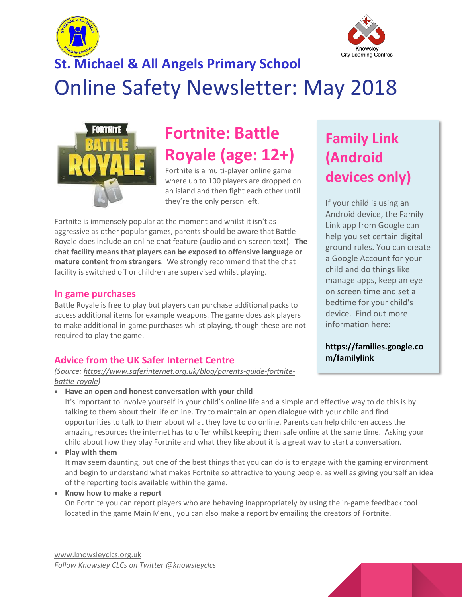



# **St. Michael & All Angels Primary School** Online Safety Newsletter: May 2018



# **Fortnite: Battle Royale (age: 12+)**

Fortnite is a multi-player online game where up to 100 players are dropped on an island and then fight each other until they're the only person left.

Fortnite is immensely popular at the moment and whilst it isn't as aggressive as other popular games, parents should be aware that Battle Royale does include an online chat feature (audio and on-screen text). **The chat facility means that players can be exposed to offensive language or mature content from strangers**. We strongly recommend that the chat facility is switched off or children are supervised whilst playing.

# **In game purchases**

Battle Royale is free to play but players can purchase additional packs to access additional items for example weapons. The game does ask players to make additional in-game purchases whilst playing, though these are not required to play the game.

# **Advice from the UK Safer Internet Centre**

*(Source: [https://www.saferinternet.org.uk/blog/parents-guide-fortnite](https://www.saferinternet.org.uk/blog/parents-guide-fortnite-battle-royale)[battle-royale\)](https://www.saferinternet.org.uk/blog/parents-guide-fortnite-battle-royale)*

**Have an open and honest conversation with your child**

It's important to involve yourself in your child's online life and a simple and effective way to do this is by talking to them about their life online. Try to maintain an open dialogue with your child and find opportunities to talk to them about what they love to do online. Parents can help children access the amazing resources the internet has to offer whilst keeping them safe online at the same time. Asking your child about how they play Fortnite and what they like about it is a great way to start a conversation.

**Play with them**

It may seem daunting, but one of the best things that you can do is to engage with the gaming environment and begin to understand what makes Fortnite so attractive to young people, as well as giving yourself an idea of the reporting tools available within the game.

**Know how to make a report**

On Fortnite you can report players who are behaving inappropriately by using the in-game feedback tool located in the game Main Menu, you can also make a report by emailing the creators of [Fortnite.](http://fortnitehelp.epicgames.com/customer/en/portal/articles/2843190-how-do-i-report-bad-player-behavior-)

*Follow Knowsley CLCs on Twitter @knowsleyclcs*

# **Family Link (Android devices only)**

If your child is using an Android device, the Family Link app from Google can help you set certain digital ground rules. You can create a Google Account for your child and do things like manage apps, keep an eye on screen time and set a bedtime for your child's device. Find out more information here:

**[https://families.google.co](https://families.google.com/familylink) [m/familylink](https://families.google.com/familylink)**